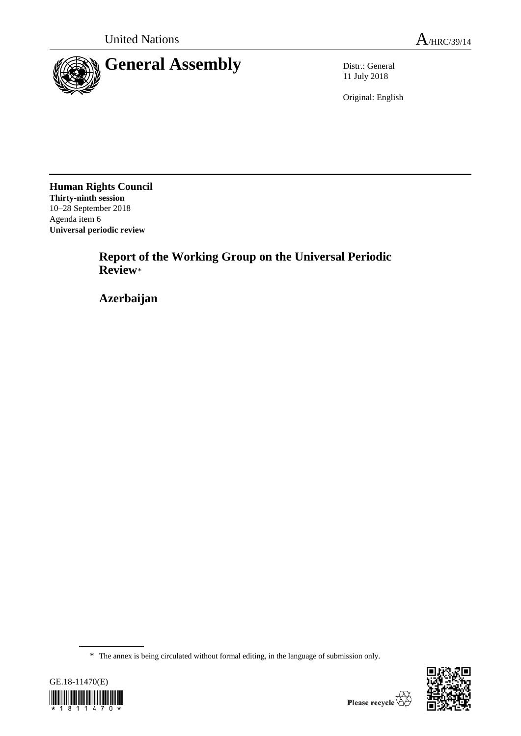

11 July 2018

Original: English

**Human Rights Council Thirty-ninth session** 10–28 September 2018 Agenda item 6 **Universal periodic review**

> **Report of the Working Group on the Universal Periodic Review**\*

**Azerbaijan**

<sup>\*</sup> The annex is being circulated without formal editing, in the language of submission only.



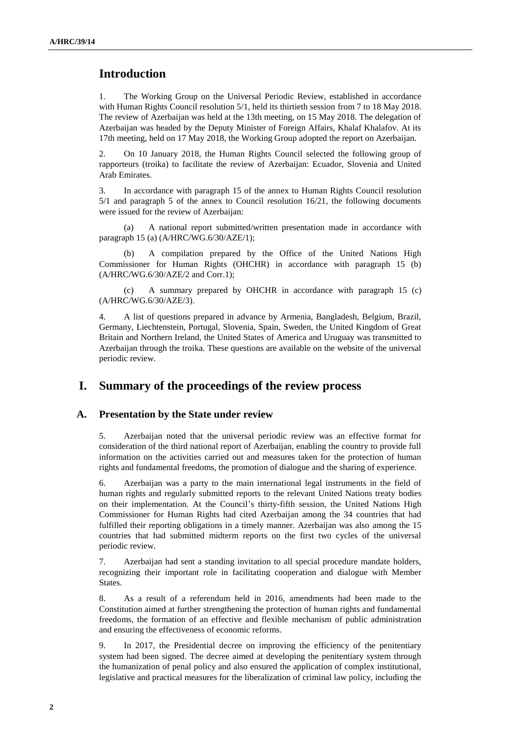# **Introduction**

1. The Working Group on the Universal Periodic Review, established in accordance with Human Rights Council resolution 5/1, held its thirtieth session from 7 to 18 May 2018. The review of Azerbaijan was held at the 13th meeting, on 15 May 2018. The delegation of Azerbaijan was headed by the Deputy Minister of Foreign Affairs, Khalaf Khalafov. At its 17th meeting, held on 17 May 2018, the Working Group adopted the report on Azerbaijan.

2. On 10 January 2018, the Human Rights Council selected the following group of rapporteurs (troika) to facilitate the review of Azerbaijan: Ecuador, Slovenia and United Arab Emirates.

3. In accordance with paragraph 15 of the annex to Human Rights Council resolution 5/1 and paragraph 5 of the annex to Council resolution 16/21, the following documents were issued for the review of Azerbaijan:

(a) A national report submitted/written presentation made in accordance with paragraph 15 (a) (A/HRC/WG.6/30/AZE/1);

(b) A compilation prepared by the Office of the United Nations High Commissioner for Human Rights (OHCHR) in accordance with paragraph 15 (b) (A/HRC/WG.6/30/AZE/2 and Corr.1);

(c) A summary prepared by OHCHR in accordance with paragraph 15 (c) (A/HRC/WG.6/30/AZE/3).

4. A list of questions prepared in advance by Armenia, Bangladesh, Belgium, Brazil, Germany, Liechtenstein, Portugal, Slovenia, Spain, Sweden, the United Kingdom of Great Britain and Northern Ireland, the United States of America and Uruguay was transmitted to Azerbaijan through the troika. These questions are available on the website of the universal periodic review.

## **I. Summary of the proceedings of the review process**

#### **A. Presentation by the State under review**

5. Azerbaijan noted that the universal periodic review was an effective format for consideration of the third national report of Azerbaijan, enabling the country to provide full information on the activities carried out and measures taken for the protection of human rights and fundamental freedoms, the promotion of dialogue and the sharing of experience.

6. Azerbaijan was a party to the main international legal instruments in the field of human rights and regularly submitted reports to the relevant United Nations treaty bodies on their implementation. At the Council's thirty-fifth session, the United Nations High Commissioner for Human Rights had cited Azerbaijan among the 34 countries that had fulfilled their reporting obligations in a timely manner. Azerbaijan was also among the 15 countries that had submitted midterm reports on the first two cycles of the universal periodic review.

7. Azerbaijan had sent a standing invitation to all special procedure mandate holders, recognizing their important role in facilitating cooperation and dialogue with Member States.

8. As a result of a referendum held in 2016, amendments had been made to the Constitution aimed at further strengthening the protection of human rights and fundamental freedoms, the formation of an effective and flexible mechanism of public administration and ensuring the effectiveness of economic reforms.

9. In 2017, the Presidential decree on improving the efficiency of the penitentiary system had been signed. The decree aimed at developing the penitentiary system through the humanization of penal policy and also ensured the application of complex institutional, legislative and practical measures for the liberalization of criminal law policy, including the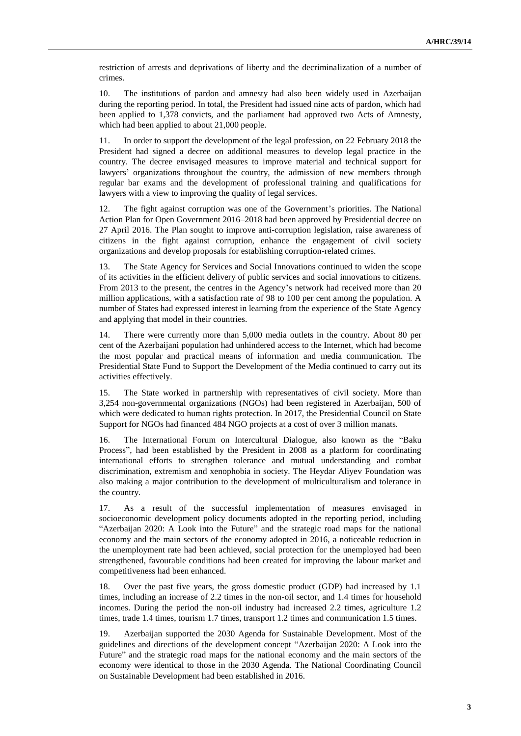restriction of arrests and deprivations of liberty and the decriminalization of a number of crimes.

10. The institutions of pardon and amnesty had also been widely used in Azerbaijan during the reporting period. In total, the President had issued nine acts of pardon, which had been applied to 1,378 convicts, and the parliament had approved two Acts of Amnesty, which had been applied to about 21,000 people.

11. In order to support the development of the legal profession, on 22 February 2018 the President had signed a decree on additional measures to develop legal practice in the country. The decree envisaged measures to improve material and technical support for lawyers' organizations throughout the country, the admission of new members through regular bar exams and the development of professional training and qualifications for lawyers with a view to improving the quality of legal services.

12. The fight against corruption was one of the Government's priorities. The National Action Plan for Open Government 2016–2018 had been approved by Presidential decree on 27 April 2016. The Plan sought to improve anti-corruption legislation, raise awareness of citizens in the fight against corruption, enhance the engagement of civil society organizations and develop proposals for establishing corruption-related crimes.

13. The State Agency for Services and Social Innovations continued to widen the scope of its activities in the efficient delivery of public services and social innovations to citizens. From 2013 to the present, the centres in the Agency's network had received more than 20 million applications, with a satisfaction rate of 98 to 100 per cent among the population. A number of States had expressed interest in learning from the experience of the State Agency and applying that model in their countries.

14. There were currently more than 5,000 media outlets in the country. About 80 per cent of the Azerbaijani population had unhindered access to the Internet, which had become the most popular and practical means of information and media communication. The Presidential State Fund to Support the Development of the Media continued to carry out its activities effectively.

15. The State worked in partnership with representatives of civil society. More than 3,254 non-governmental organizations (NGOs) had been registered in Azerbaijan, 500 of which were dedicated to human rights protection. In 2017, the Presidential Council on State Support for NGOs had financed 484 NGO projects at a cost of over 3 million manats.

16. The International Forum on Intercultural Dialogue, also known as the "Baku Process", had been established by the President in 2008 as a platform for coordinating international efforts to strengthen tolerance and mutual understanding and combat discrimination, extremism and xenophobia in society. The Heydar Aliyev Foundation was also making a major contribution to the development of multiculturalism and tolerance in the country.

17. As a result of the successful implementation of measures envisaged in socioeconomic development policy documents adopted in the reporting period, including "Azerbaijan 2020: A Look into the Future" and the strategic road maps for the national economy and the main sectors of the economy adopted in 2016, a noticeable reduction in the unemployment rate had been achieved, social protection for the unemployed had been strengthened, favourable conditions had been created for improving the labour market and competitiveness had been enhanced.

18. Over the past five years, the gross domestic product (GDP) had increased by 1.1 times, including an increase of 2.2 times in the non-oil sector, and 1.4 times for household incomes. During the period the non-oil industry had increased 2.2 times, agriculture 1.2 times, trade 1.4 times, tourism 1.7 times, transport 1.2 times and communication 1.5 times.

19. Azerbaijan supported the 2030 Agenda for Sustainable Development. Most of the guidelines and directions of the development concept "Azerbaijan 2020: A Look into the Future" and the strategic road maps for the national economy and the main sectors of the economy were identical to those in the 2030 Agenda. The National Coordinating Council on Sustainable Development had been established in 2016.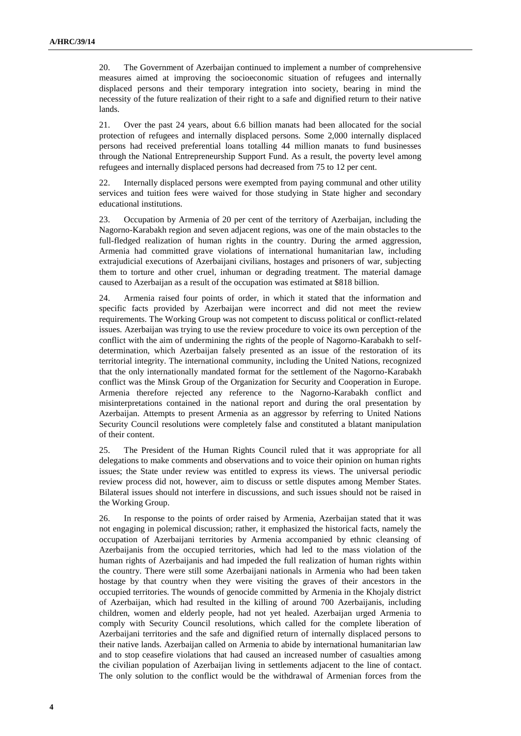20. The Government of Azerbaijan continued to implement a number of comprehensive measures aimed at improving the socioeconomic situation of refugees and internally displaced persons and their temporary integration into society, bearing in mind the necessity of the future realization of their right to a safe and dignified return to their native lands.

21. Over the past 24 years, about 6.6 billion manats had been allocated for the social protection of refugees and internally displaced persons. Some 2,000 internally displaced persons had received preferential loans totalling 44 million manats to fund businesses through the National Entrepreneurship Support Fund. As a result, the poverty level among refugees and internally displaced persons had decreased from 75 to 12 per cent.

22. Internally displaced persons were exempted from paying communal and other utility services and tuition fees were waived for those studying in State higher and secondary educational institutions.

23. Occupation by Armenia of 20 per cent of the territory of Azerbaijan, including the Nagorno-Karabakh region and seven adjacent regions, was one of the main obstacles to the full-fledged realization of human rights in the country. During the armed aggression, Armenia had committed grave violations of international humanitarian law, including extrajudicial executions of Azerbaijani civilians, hostages and prisoners of war, subjecting them to torture and other cruel, inhuman or degrading treatment. The material damage caused to Azerbaijan as a result of the occupation was estimated at \$818 billion.

24. Armenia raised four points of order, in which it stated that the information and specific facts provided by Azerbaijan were incorrect and did not meet the review requirements. The Working Group was not competent to discuss political or conflict-related issues. Azerbaijan was trying to use the review procedure to voice its own perception of the conflict with the aim of undermining the rights of the people of Nagorno-Karabakh to selfdetermination, which Azerbaijan falsely presented as an issue of the restoration of its territorial integrity. The international community, including the United Nations, recognized that the only internationally mandated format for the settlement of the Nagorno-Karabakh conflict was the Minsk Group of the Organization for Security and Cooperation in Europe. Armenia therefore rejected any reference to the Nagorno-Karabakh conflict and misinterpretations contained in the national report and during the oral presentation by Azerbaijan. Attempts to present Armenia as an aggressor by referring to United Nations Security Council resolutions were completely false and constituted a blatant manipulation of their content.

25. The President of the Human Rights Council ruled that it was appropriate for all delegations to make comments and observations and to voice their opinion on human rights issues; the State under review was entitled to express its views. The universal periodic review process did not, however, aim to discuss or settle disputes among Member States. Bilateral issues should not interfere in discussions, and such issues should not be raised in the Working Group.

26. In response to the points of order raised by Armenia, Azerbaijan stated that it was not engaging in polemical discussion; rather, it emphasized the historical facts, namely the occupation of Azerbaijani territories by Armenia accompanied by ethnic cleansing of Azerbaijanis from the occupied territories, which had led to the mass violation of the human rights of Azerbaijanis and had impeded the full realization of human rights within the country. There were still some Azerbaijani nationals in Armenia who had been taken hostage by that country when they were visiting the graves of their ancestors in the occupied territories. The wounds of genocide committed by Armenia in the Khojaly district of Azerbaijan, which had resulted in the killing of around 700 Azerbaijanis, including children, women and elderly people, had not yet healed. Azerbaijan urged Armenia to comply with Security Council resolutions, which called for the complete liberation of Azerbaijani territories and the safe and dignified return of internally displaced persons to their native lands. Azerbaijan called on Armenia to abide by international humanitarian law and to stop ceasefire violations that had caused an increased number of casualties among the civilian population of Azerbaijan living in settlements adjacent to the line of contact. The only solution to the conflict would be the withdrawal of Armenian forces from the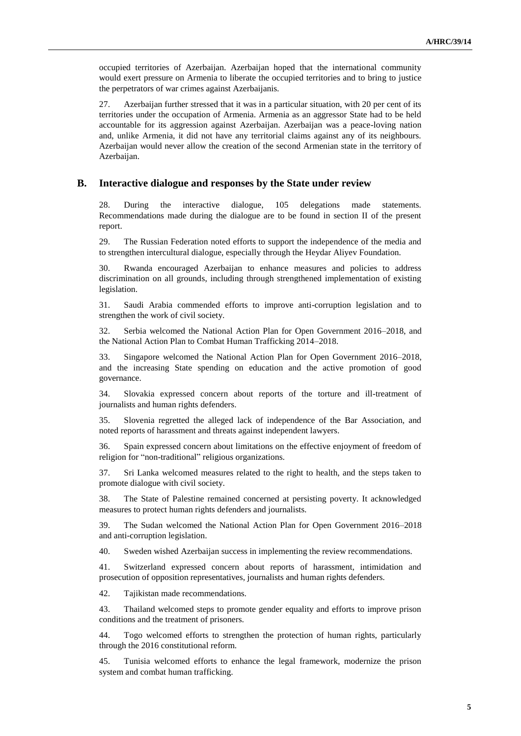occupied territories of Azerbaijan. Azerbaijan hoped that the international community would exert pressure on Armenia to liberate the occupied territories and to bring to justice the perpetrators of war crimes against Azerbaijanis.

27. Azerbaijan further stressed that it was in a particular situation, with 20 per cent of its territories under the occupation of Armenia. Armenia as an aggressor State had to be held accountable for its aggression against Azerbaijan. Azerbaijan was a peace-loving nation and, unlike Armenia, it did not have any territorial claims against any of its neighbours. Azerbaijan would never allow the creation of the second Armenian state in the territory of Azerbaijan.

#### **B. Interactive dialogue and responses by the State under review**

28. During the interactive dialogue, 105 delegations made statements. Recommendations made during the dialogue are to be found in section II of the present report.

29. The Russian Federation noted efforts to support the independence of the media and to strengthen intercultural dialogue, especially through the Heydar Aliyev Foundation.

30. Rwanda encouraged Azerbaijan to enhance measures and policies to address discrimination on all grounds, including through strengthened implementation of existing legislation.

31. Saudi Arabia commended efforts to improve anti-corruption legislation and to strengthen the work of civil society.

32. Serbia welcomed the National Action Plan for Open Government 2016–2018, and the National Action Plan to Combat Human Trafficking 2014–2018.

33. Singapore welcomed the National Action Plan for Open Government 2016–2018, and the increasing State spending on education and the active promotion of good governance.

34. Slovakia expressed concern about reports of the torture and ill-treatment of journalists and human rights defenders.

35. Slovenia regretted the alleged lack of independence of the Bar Association, and noted reports of harassment and threats against independent lawyers.

36. Spain expressed concern about limitations on the effective enjoyment of freedom of religion for "non-traditional" religious organizations.

37. Sri Lanka welcomed measures related to the right to health, and the steps taken to promote dialogue with civil society.

38. The State of Palestine remained concerned at persisting poverty. It acknowledged measures to protect human rights defenders and journalists.

39. The Sudan welcomed the National Action Plan for Open Government 2016–2018 and anti-corruption legislation.

40. Sweden wished Azerbaijan success in implementing the review recommendations.

41. Switzerland expressed concern about reports of harassment, intimidation and prosecution of opposition representatives, journalists and human rights defenders.

42. Tajikistan made recommendations.

43. Thailand welcomed steps to promote gender equality and efforts to improve prison conditions and the treatment of prisoners.

44. Togo welcomed efforts to strengthen the protection of human rights, particularly through the 2016 constitutional reform.

45. Tunisia welcomed efforts to enhance the legal framework, modernize the prison system and combat human trafficking.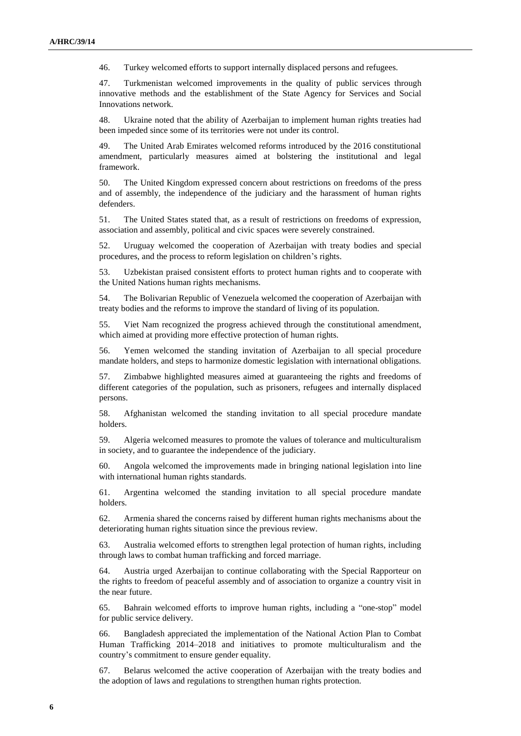46. Turkey welcomed efforts to support internally displaced persons and refugees.

47. Turkmenistan welcomed improvements in the quality of public services through innovative methods and the establishment of the State Agency for Services and Social Innovations network.

48. Ukraine noted that the ability of Azerbaijan to implement human rights treaties had been impeded since some of its territories were not under its control.

49. The United Arab Emirates welcomed reforms introduced by the 2016 constitutional amendment, particularly measures aimed at bolstering the institutional and legal framework.

50. The United Kingdom expressed concern about restrictions on freedoms of the press and of assembly, the independence of the judiciary and the harassment of human rights defenders.

51. The United States stated that, as a result of restrictions on freedoms of expression, association and assembly, political and civic spaces were severely constrained.

52. Uruguay welcomed the cooperation of Azerbaijan with treaty bodies and special procedures, and the process to reform legislation on children's rights.

53. Uzbekistan praised consistent efforts to protect human rights and to cooperate with the United Nations human rights mechanisms.

54. The Bolivarian Republic of Venezuela welcomed the cooperation of Azerbaijan with treaty bodies and the reforms to improve the standard of living of its population.

55. Viet Nam recognized the progress achieved through the constitutional amendment, which aimed at providing more effective protection of human rights.

56. Yemen welcomed the standing invitation of Azerbaijan to all special procedure mandate holders, and steps to harmonize domestic legislation with international obligations.

57. Zimbabwe highlighted measures aimed at guaranteeing the rights and freedoms of different categories of the population, such as prisoners, refugees and internally displaced persons.

58. Afghanistan welcomed the standing invitation to all special procedure mandate holders.

59. Algeria welcomed measures to promote the values of tolerance and multiculturalism in society, and to guarantee the independence of the judiciary.

60. Angola welcomed the improvements made in bringing national legislation into line with international human rights standards.

61. Argentina welcomed the standing invitation to all special procedure mandate holders.

62. Armenia shared the concerns raised by different human rights mechanisms about the deteriorating human rights situation since the previous review.

63. Australia welcomed efforts to strengthen legal protection of human rights, including through laws to combat human trafficking and forced marriage.

64. Austria urged Azerbaijan to continue collaborating with the Special Rapporteur on the rights to freedom of peaceful assembly and of association to organize a country visit in the near future.

65. Bahrain welcomed efforts to improve human rights, including a "one-stop" model for public service delivery.

66. Bangladesh appreciated the implementation of the National Action Plan to Combat Human Trafficking 2014–2018 and initiatives to promote multiculturalism and the country's commitment to ensure gender equality.

67. Belarus welcomed the active cooperation of Azerbaijan with the treaty bodies and the adoption of laws and regulations to strengthen human rights protection.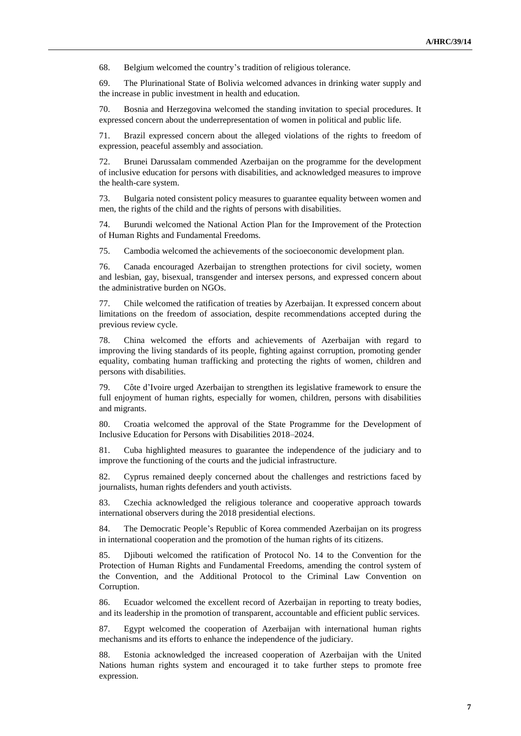68. Belgium welcomed the country's tradition of religious tolerance.

69. The Plurinational State of Bolivia welcomed advances in drinking water supply and the increase in public investment in health and education.

70. Bosnia and Herzegovina welcomed the standing invitation to special procedures. It expressed concern about the underrepresentation of women in political and public life.

71. Brazil expressed concern about the alleged violations of the rights to freedom of expression, peaceful assembly and association.

72. Brunei Darussalam commended Azerbaijan on the programme for the development of inclusive education for persons with disabilities, and acknowledged measures to improve the health-care system.

73. Bulgaria noted consistent policy measures to guarantee equality between women and men, the rights of the child and the rights of persons with disabilities.

74. Burundi welcomed the National Action Plan for the Improvement of the Protection of Human Rights and Fundamental Freedoms.

75. Cambodia welcomed the achievements of the socioeconomic development plan.

76. Canada encouraged Azerbaijan to strengthen protections for civil society, women and lesbian, gay, bisexual, transgender and intersex persons, and expressed concern about the administrative burden on NGOs.

77. Chile welcomed the ratification of treaties by Azerbaijan. It expressed concern about limitations on the freedom of association, despite recommendations accepted during the previous review cycle.

78. China welcomed the efforts and achievements of Azerbaijan with regard to improving the living standards of its people, fighting against corruption, promoting gender equality, combating human trafficking and protecting the rights of women, children and persons with disabilities.

79. Côte d'Ivoire urged Azerbaijan to strengthen its legislative framework to ensure the full enjoyment of human rights, especially for women, children, persons with disabilities and migrants.

80. Croatia welcomed the approval of the State Programme for the Development of Inclusive Education for Persons with Disabilities 2018–2024.

81. Cuba highlighted measures to guarantee the independence of the judiciary and to improve the functioning of the courts and the judicial infrastructure.

82. Cyprus remained deeply concerned about the challenges and restrictions faced by journalists, human rights defenders and youth activists.

83. Czechia acknowledged the religious tolerance and cooperative approach towards international observers during the 2018 presidential elections.

84. The Democratic People's Republic of Korea commended Azerbaijan on its progress in international cooperation and the promotion of the human rights of its citizens.

85. Djibouti welcomed the ratification of Protocol No. 14 to the Convention for the Protection of Human Rights and Fundamental Freedoms, amending the control system of the Convention, and the Additional Protocol to the Criminal Law Convention on Corruption.

86. Ecuador welcomed the excellent record of Azerbaijan in reporting to treaty bodies, and its leadership in the promotion of transparent, accountable and efficient public services.

87. Egypt welcomed the cooperation of Azerbaijan with international human rights mechanisms and its efforts to enhance the independence of the judiciary.

88. Estonia acknowledged the increased cooperation of Azerbaijan with the United Nations human rights system and encouraged it to take further steps to promote free expression.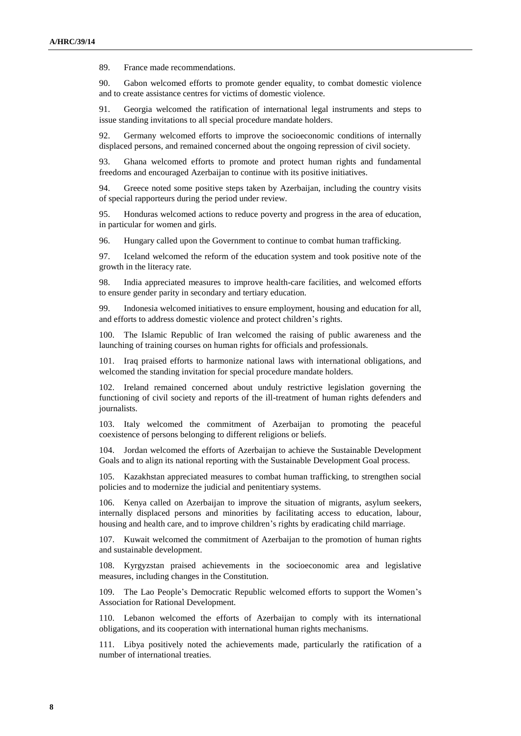89. France made recommendations.

90. Gabon welcomed efforts to promote gender equality, to combat domestic violence and to create assistance centres for victims of domestic violence.

91. Georgia welcomed the ratification of international legal instruments and steps to issue standing invitations to all special procedure mandate holders.

92. Germany welcomed efforts to improve the socioeconomic conditions of internally displaced persons, and remained concerned about the ongoing repression of civil society.

93. Ghana welcomed efforts to promote and protect human rights and fundamental freedoms and encouraged Azerbaijan to continue with its positive initiatives.

94. Greece noted some positive steps taken by Azerbaijan, including the country visits of special rapporteurs during the period under review.

95. Honduras welcomed actions to reduce poverty and progress in the area of education, in particular for women and girls.

96. Hungary called upon the Government to continue to combat human trafficking.

97. Iceland welcomed the reform of the education system and took positive note of the growth in the literacy rate.

98. India appreciated measures to improve health-care facilities, and welcomed efforts to ensure gender parity in secondary and tertiary education.

99. Indonesia welcomed initiatives to ensure employment, housing and education for all, and efforts to address domestic violence and protect children's rights.

100. The Islamic Republic of Iran welcomed the raising of public awareness and the launching of training courses on human rights for officials and professionals.

101. Iraq praised efforts to harmonize national laws with international obligations, and welcomed the standing invitation for special procedure mandate holders.

102. Ireland remained concerned about unduly restrictive legislation governing the functioning of civil society and reports of the ill-treatment of human rights defenders and journalists.

103. Italy welcomed the commitment of Azerbaijan to promoting the peaceful coexistence of persons belonging to different religions or beliefs.

104. Jordan welcomed the efforts of Azerbaijan to achieve the Sustainable Development Goals and to align its national reporting with the Sustainable Development Goal process.

105. Kazakhstan appreciated measures to combat human trafficking, to strengthen social policies and to modernize the judicial and penitentiary systems.

106. Kenya called on Azerbaijan to improve the situation of migrants, asylum seekers, internally displaced persons and minorities by facilitating access to education, labour, housing and health care, and to improve children's rights by eradicating child marriage.

107. Kuwait welcomed the commitment of Azerbaijan to the promotion of human rights and sustainable development.

108. Kyrgyzstan praised achievements in the socioeconomic area and legislative measures, including changes in the Constitution.

109. The Lao People's Democratic Republic welcomed efforts to support the Women's Association for Rational Development.

110. Lebanon welcomed the efforts of Azerbaijan to comply with its international obligations, and its cooperation with international human rights mechanisms.

111. Libya positively noted the achievements made, particularly the ratification of a number of international treaties.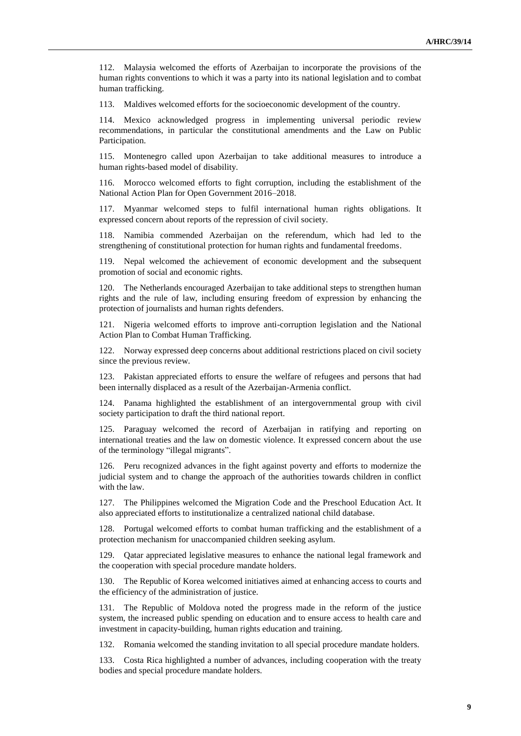112. Malaysia welcomed the efforts of Azerbaijan to incorporate the provisions of the human rights conventions to which it was a party into its national legislation and to combat human trafficking.

113. Maldives welcomed efforts for the socioeconomic development of the country.

114. Mexico acknowledged progress in implementing universal periodic review recommendations, in particular the constitutional amendments and the Law on Public Participation.

115. Montenegro called upon Azerbaijan to take additional measures to introduce a human rights-based model of disability.

116. Morocco welcomed efforts to fight corruption, including the establishment of the National Action Plan for Open Government 2016–2018.

117. Myanmar welcomed steps to fulfil international human rights obligations. It expressed concern about reports of the repression of civil society.

Namibia commended Azerbaijan on the referendum, which had led to the strengthening of constitutional protection for human rights and fundamental freedoms.

119. Nepal welcomed the achievement of economic development and the subsequent promotion of social and economic rights.

120. The Netherlands encouraged Azerbaijan to take additional steps to strengthen human rights and the rule of law, including ensuring freedom of expression by enhancing the protection of journalists and human rights defenders.

121. Nigeria welcomed efforts to improve anti-corruption legislation and the National Action Plan to Combat Human Trafficking.

122. Norway expressed deep concerns about additional restrictions placed on civil society since the previous review.

123. Pakistan appreciated efforts to ensure the welfare of refugees and persons that had been internally displaced as a result of the Azerbaijan-Armenia conflict.

124. Panama highlighted the establishment of an intergovernmental group with civil society participation to draft the third national report.

125. Paraguay welcomed the record of Azerbaijan in ratifying and reporting on international treaties and the law on domestic violence. It expressed concern about the use of the terminology "illegal migrants".

126. Peru recognized advances in the fight against poverty and efforts to modernize the judicial system and to change the approach of the authorities towards children in conflict with the law.

127. The Philippines welcomed the Migration Code and the Preschool Education Act. It also appreciated efforts to institutionalize a centralized national child database.

Portugal welcomed efforts to combat human trafficking and the establishment of a protection mechanism for unaccompanied children seeking asylum.

129. Qatar appreciated legislative measures to enhance the national legal framework and the cooperation with special procedure mandate holders.

130. The Republic of Korea welcomed initiatives aimed at enhancing access to courts and the efficiency of the administration of justice.

131. The Republic of Moldova noted the progress made in the reform of the justice system, the increased public spending on education and to ensure access to health care and investment in capacity-building, human rights education and training.

132. Romania welcomed the standing invitation to all special procedure mandate holders.

133. Costa Rica highlighted a number of advances, including cooperation with the treaty bodies and special procedure mandate holders.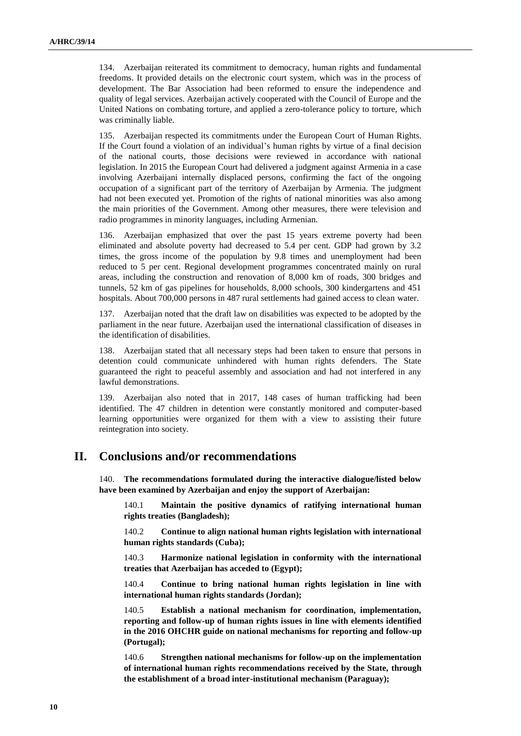134. Azerbaijan reiterated its commitment to democracy, human rights and fundamental freedoms. It provided details on the electronic court system, which was in the process of development. The Bar Association had been reformed to ensure the independence and quality of legal services. Azerbaijan actively cooperated with the Council of Europe and the United Nations on combating torture, and applied a zero-tolerance policy to torture, which was criminally liable.

135. Azerbaijan respected its commitments under the European Court of Human Rights. If the Court found a violation of an individual's human rights by virtue of a final decision of the national courts, those decisions were reviewed in accordance with national legislation. In 2015 the European Court had delivered a judgment against Armenia in a case involving Azerbaijani internally displaced persons, confirming the fact of the ongoing occupation of a significant part of the territory of Azerbaijan by Armenia. The judgment had not been executed yet. Promotion of the rights of national minorities was also among the main priorities of the Government. Among other measures, there were television and radio programmes in minority languages, including Armenian.

Azerbaijan emphasized that over the past 15 years extreme poverty had been eliminated and absolute poverty had decreased to 5.4 per cent. GDP had grown by 3.2 times, the gross income of the population by 9.8 times and unemployment had been reduced to 5 per cent. Regional development programmes concentrated mainly on rural areas, including the construction and renovation of 8,000 km of roads, 300 bridges and tunnels, 52 km of gas pipelines for households, 8,000 schools, 300 kindergartens and 451 hospitals. About 700,000 persons in 487 rural settlements had gained access to clean water.

Azerbaijan noted that the draft law on disabilities was expected to be adopted by the parliament in the near future. Azerbaijan used the international classification of diseases in the identification of disabilities.

138. Azerbaijan stated that all necessary steps had been taken to ensure that persons in detention could communicate unhindered with human rights defenders. The State guaranteed the right to peaceful assembly and association and had not interfered in any lawful demonstrations.

139. Azerbaijan also noted that in 2017, 148 cases of human trafficking had been identified. The 47 children in detention were constantly monitored and computer-based learning opportunities were organized for them with a view to assisting their future reintegration into society.

## **II. Conclusions and/or recommendations**

140. **The recommendations formulated during the interactive dialogue/listed below have been examined by Azerbaijan and enjoy the support of Azerbaijan:**

140.1 **Maintain the positive dynamics of ratifying international human rights treaties (Bangladesh);**

140.2 **Continue to align national human rights legislation with international human rights standards (Cuba);**

140.3 **Harmonize national legislation in conformity with the international treaties that Azerbaijan has acceded to (Egypt);**

140.4 **Continue to bring national human rights legislation in line with international human rights standards (Jordan);**

140.5 **Establish a national mechanism for coordination, implementation, reporting and follow-up of human rights issues in line with elements identified in the 2016 OHCHR guide on national mechanisms for reporting and follow-up (Portugal);**

140.6 **Strengthen national mechanisms for follow-up on the implementation of international human rights recommendations received by the State, through the establishment of a broad inter-institutional mechanism (Paraguay);**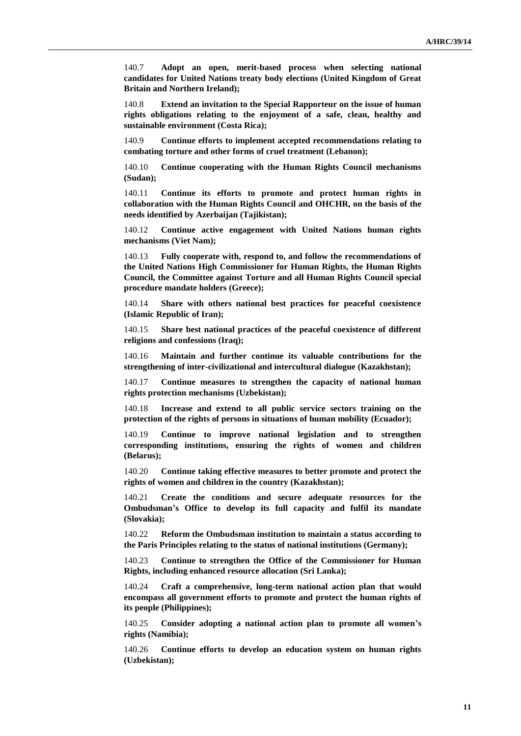140.7 **Adopt an open, merit-based process when selecting national candidates for United Nations treaty body elections (United Kingdom of Great Britain and Northern Ireland);**

140.8 **Extend an invitation to the Special Rapporteur on the issue of human rights obligations relating to the enjoyment of a safe, clean, healthy and sustainable environment (Costa Rica);**

140.9 **Continue efforts to implement accepted recommendations relating to combating torture and other forms of cruel treatment (Lebanon);**

140.10 **Continue cooperating with the Human Rights Council mechanisms (Sudan);**

140.11 **Continue its efforts to promote and protect human rights in collaboration with the Human Rights Council and OHCHR, on the basis of the needs identified by Azerbaijan (Tajikistan);**

140.12 **Continue active engagement with United Nations human rights mechanisms (Viet Nam);**

140.13 **Fully cooperate with, respond to, and follow the recommendations of the United Nations High Commissioner for Human Rights, the Human Rights Council, the Committee against Torture and all Human Rights Council special procedure mandate holders (Greece);**

140.14 **Share with others national best practices for peaceful coexistence (Islamic Republic of Iran);**

140.15 **Share best national practices of the peaceful coexistence of different religions and confessions (Iraq);**

140.16 **Maintain and further continue its valuable contributions for the strengthening of inter-civilizational and intercultural dialogue (Kazakhstan);**

140.17 **Continue measures to strengthen the capacity of national human rights protection mechanisms (Uzbekistan);**

140.18 **Increase and extend to all public service sectors training on the protection of the rights of persons in situations of human mobility (Ecuador);**

140.19 **Continue to improve national legislation and to strengthen corresponding institutions, ensuring the rights of women and children (Belarus);**

140.20 **Continue taking effective measures to better promote and protect the rights of women and children in the country (Kazakhstan);**

140.21 **Create the conditions and secure adequate resources for the Ombudsman's Office to develop its full capacity and fulfil its mandate (Slovakia);**

140.22 **Reform the Ombudsman institution to maintain a status according to the Paris Principles relating to the status of national institutions (Germany);**

140.23 **Continue to strengthen the Office of the Commissioner for Human Rights, including enhanced resource allocation (Sri Lanka);**

140.24 **Craft a comprehensive, long-term national action plan that would encompass all government efforts to promote and protect the human rights of its people (Philippines);**

140.25 **Consider adopting a national action plan to promote all women's rights (Namibia);**

140.26 **Continue efforts to develop an education system on human rights (Uzbekistan);**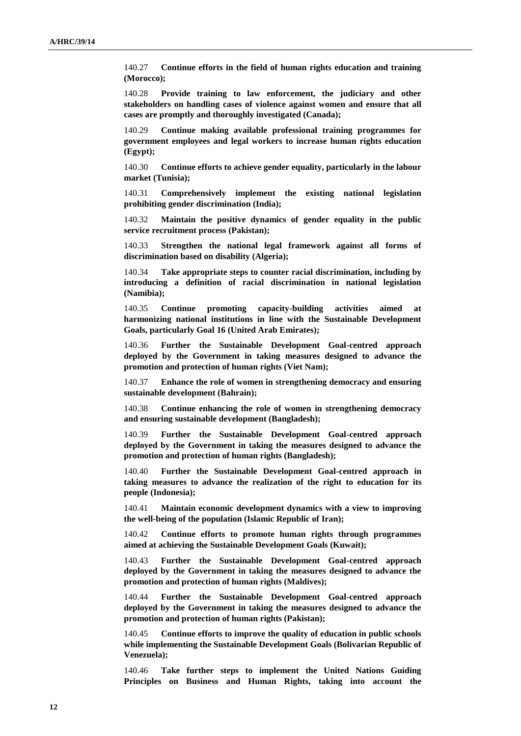140.27 **Continue efforts in the field of human rights education and training (Morocco);**

140.28 **Provide training to law enforcement, the judiciary and other stakeholders on handling cases of violence against women and ensure that all cases are promptly and thoroughly investigated (Canada);**

140.29 **Continue making available professional training programmes for government employees and legal workers to increase human rights education (Egypt);**

140.30 **Continue efforts to achieve gender equality, particularly in the labour market (Tunisia);**

140.31 **Comprehensively implement the existing national legislation prohibiting gender discrimination (India);**

140.32 **Maintain the positive dynamics of gender equality in the public service recruitment process (Pakistan);**

140.33 **Strengthen the national legal framework against all forms of discrimination based on disability (Algeria);**

140.34 **Take appropriate steps to counter racial discrimination, including by introducing a definition of racial discrimination in national legislation (Namibia);**

140.35 **Continue promoting capacity-building activities aimed at harmonizing national institutions in line with the Sustainable Development Goals, particularly Goal 16 (United Arab Emirates);**

140.36 **Further the Sustainable Development Goal-centred approach deployed by the Government in taking measures designed to advance the promotion and protection of human rights (Viet Nam);**

140.37 **Enhance the role of women in strengthening democracy and ensuring sustainable development (Bahrain);**

140.38 **Continue enhancing the role of women in strengthening democracy and ensuring sustainable development (Bangladesh);**

140.39 **Further the Sustainable Development Goal-centred approach deployed by the Government in taking the measures designed to advance the promotion and protection of human rights (Bangladesh);**

140.40 **Further the Sustainable Development Goal-centred approach in taking measures to advance the realization of the right to education for its people (Indonesia);**

140.41 **Maintain economic development dynamics with a view to improving the well-being of the population (Islamic Republic of Iran);**

140.42 **Continue efforts to promote human rights through programmes aimed at achieving the Sustainable Development Goals (Kuwait);**

140.43 **Further the Sustainable Development Goal-centred approach deployed by the Government in taking the measures designed to advance the promotion and protection of human rights (Maldives);**

140.44 **Further the Sustainable Development Goal-centred approach deployed by the Government in taking the measures designed to advance the promotion and protection of human rights (Pakistan);**

140.45 **Continue efforts to improve the quality of education in public schools while implementing the Sustainable Development Goals (Bolivarian Republic of Venezuela);**

140.46 **Take further steps to implement the United Nations Guiding Principles on Business and Human Rights, taking into account the**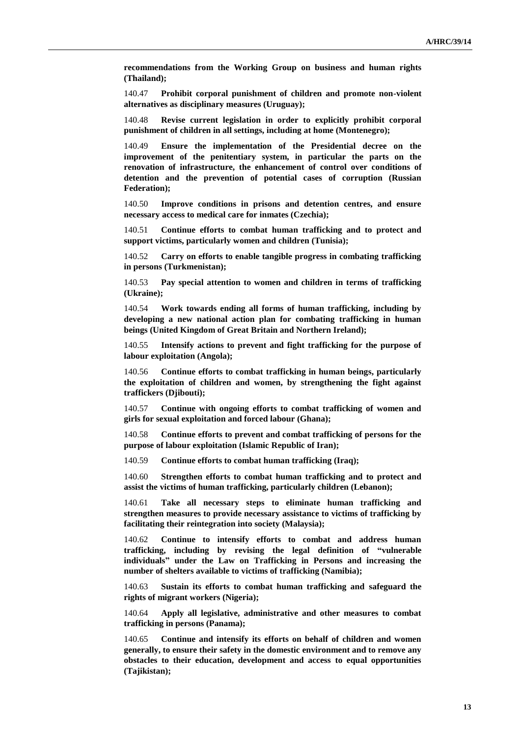**recommendations from the Working Group on business and human rights (Thailand);**

140.47 **Prohibit corporal punishment of children and promote non-violent alternatives as disciplinary measures (Uruguay);**

140.48 **Revise current legislation in order to explicitly prohibit corporal punishment of children in all settings, including at home (Montenegro);**

140.49 **Ensure the implementation of the Presidential decree on the improvement of the penitentiary system, in particular the parts on the renovation of infrastructure, the enhancement of control over conditions of detention and the prevention of potential cases of corruption (Russian Federation);**

140.50 **Improve conditions in prisons and detention centres, and ensure necessary access to medical care for inmates (Czechia);**

140.51 **Continue efforts to combat human trafficking and to protect and support victims, particularly women and children (Tunisia);**

140.52 **Carry on efforts to enable tangible progress in combating trafficking in persons (Turkmenistan);**

140.53 **Pay special attention to women and children in terms of trafficking (Ukraine);**

140.54 **Work towards ending all forms of human trafficking, including by developing a new national action plan for combating trafficking in human beings (United Kingdom of Great Britain and Northern Ireland);**

140.55 **Intensify actions to prevent and fight trafficking for the purpose of labour exploitation (Angola);**

140.56 **Continue efforts to combat trafficking in human beings, particularly the exploitation of children and women, by strengthening the fight against traffickers (Djibouti);**

140.57 **Continue with ongoing efforts to combat trafficking of women and girls for sexual exploitation and forced labour (Ghana);**

140.58 **Continue efforts to prevent and combat trafficking of persons for the purpose of labour exploitation (Islamic Republic of Iran);**

140.59 **Continue efforts to combat human trafficking (Iraq);**

140.60 **Strengthen efforts to combat human trafficking and to protect and assist the victims of human trafficking, particularly children (Lebanon);**

140.61 **Take all necessary steps to eliminate human trafficking and strengthen measures to provide necessary assistance to victims of trafficking by facilitating their reintegration into society (Malaysia);**

140.62 **Continue to intensify efforts to combat and address human trafficking, including by revising the legal definition of "vulnerable individuals" under the Law on Trafficking in Persons and increasing the number of shelters available to victims of trafficking (Namibia);**

140.63 **Sustain its efforts to combat human trafficking and safeguard the rights of migrant workers (Nigeria);**

140.64 **Apply all legislative, administrative and other measures to combat trafficking in persons (Panama);**

140.65 **Continue and intensify its efforts on behalf of children and women generally, to ensure their safety in the domestic environment and to remove any obstacles to their education, development and access to equal opportunities (Tajikistan);**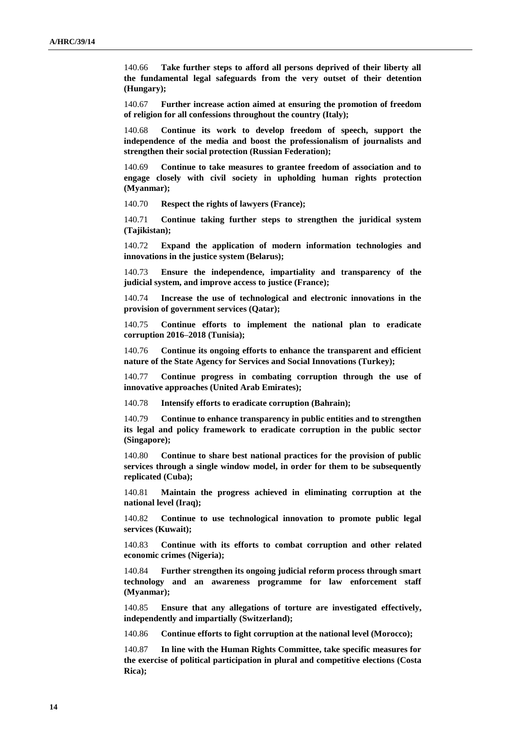140.66 **Take further steps to afford all persons deprived of their liberty all the fundamental legal safeguards from the very outset of their detention (Hungary);**

140.67 **Further increase action aimed at ensuring the promotion of freedom of religion for all confessions throughout the country (Italy);**

140.68 **Continue its work to develop freedom of speech, support the independence of the media and boost the professionalism of journalists and strengthen their social protection (Russian Federation);**

140.69 **Continue to take measures to grantee freedom of association and to engage closely with civil society in upholding human rights protection (Myanmar);**

140.70 **Respect the rights of lawyers (France);**

140.71 **Continue taking further steps to strengthen the juridical system (Tajikistan);**

140.72 **Expand the application of modern information technologies and innovations in the justice system (Belarus);**

140.73 **Ensure the independence, impartiality and transparency of the judicial system, and improve access to justice (France);**

140.74 **Increase the use of technological and electronic innovations in the provision of government services (Qatar);**

140.75 **Continue efforts to implement the national plan to eradicate corruption 2016–2018 (Tunisia);**

140.76 **Continue its ongoing efforts to enhance the transparent and efficient nature of the State Agency for Services and Social Innovations (Turkey);**

140.77 **Continue progress in combating corruption through the use of innovative approaches (United Arab Emirates);**

140.78 **Intensify efforts to eradicate corruption (Bahrain);**

140.79 **Continue to enhance transparency in public entities and to strengthen its legal and policy framework to eradicate corruption in the public sector (Singapore);**

140.80 **Continue to share best national practices for the provision of public services through a single window model, in order for them to be subsequently replicated (Cuba);**

140.81 **Maintain the progress achieved in eliminating corruption at the national level (Iraq);**

140.82 **Continue to use technological innovation to promote public legal services (Kuwait);**

140.83 **Continue with its efforts to combat corruption and other related economic crimes (Nigeria);**

140.84 **Further strengthen its ongoing judicial reform process through smart technology and an awareness programme for law enforcement staff (Myanmar);**

140.85 **Ensure that any allegations of torture are investigated effectively, independently and impartially (Switzerland);**

140.86 **Continue efforts to fight corruption at the national level (Morocco);**

140.87 **In line with the Human Rights Committee, take specific measures for the exercise of political participation in plural and competitive elections (Costa Rica);**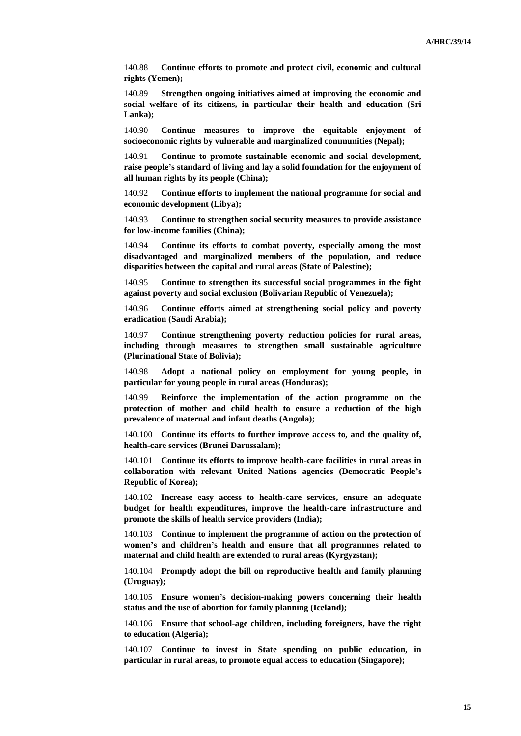140.88 **Continue efforts to promote and protect civil, economic and cultural rights (Yemen);**

140.89 **Strengthen ongoing initiatives aimed at improving the economic and social welfare of its citizens, in particular their health and education (Sri Lanka);**

140.90 **Continue measures to improve the equitable enjoyment of socioeconomic rights by vulnerable and marginalized communities (Nepal);**

140.91 **Continue to promote sustainable economic and social development, raise people's standard of living and lay a solid foundation for the enjoyment of all human rights by its people (China);**

140.92 **Continue efforts to implement the national programme for social and economic development (Libya);**

140.93 **Continue to strengthen social security measures to provide assistance for low-income families (China);**

140.94 **Continue its efforts to combat poverty, especially among the most disadvantaged and marginalized members of the population, and reduce disparities between the capital and rural areas (State of Palestine);**

140.95 **Continue to strengthen its successful social programmes in the fight against poverty and social exclusion (Bolivarian Republic of Venezuela);**

140.96 **Continue efforts aimed at strengthening social policy and poverty eradication (Saudi Arabia);**

140.97 **Continue strengthening poverty reduction policies for rural areas, including through measures to strengthen small sustainable agriculture (Plurinational State of Bolivia);**

140.98 **Adopt a national policy on employment for young people, in particular for young people in rural areas (Honduras);**

140.99 **Reinforce the implementation of the action programme on the protection of mother and child health to ensure a reduction of the high prevalence of maternal and infant deaths (Angola);**

140.100 **Continue its efforts to further improve access to, and the quality of, health-care services (Brunei Darussalam);**

140.101 **Continue its efforts to improve health-care facilities in rural areas in collaboration with relevant United Nations agencies (Democratic People's Republic of Korea);**

140.102 **Increase easy access to health-care services, ensure an adequate budget for health expenditures, improve the health-care infrastructure and promote the skills of health service providers (India);**

140.103 **Continue to implement the programme of action on the protection of women's and children's health and ensure that all programmes related to maternal and child health are extended to rural areas (Kyrgyzstan);**

140.104 **Promptly adopt the bill on reproductive health and family planning (Uruguay);**

140.105 **Ensure women's decision-making powers concerning their health status and the use of abortion for family planning (Iceland);**

140.106 **Ensure that school-age children, including foreigners, have the right to education (Algeria);**

140.107 **Continue to invest in State spending on public education, in particular in rural areas, to promote equal access to education (Singapore);**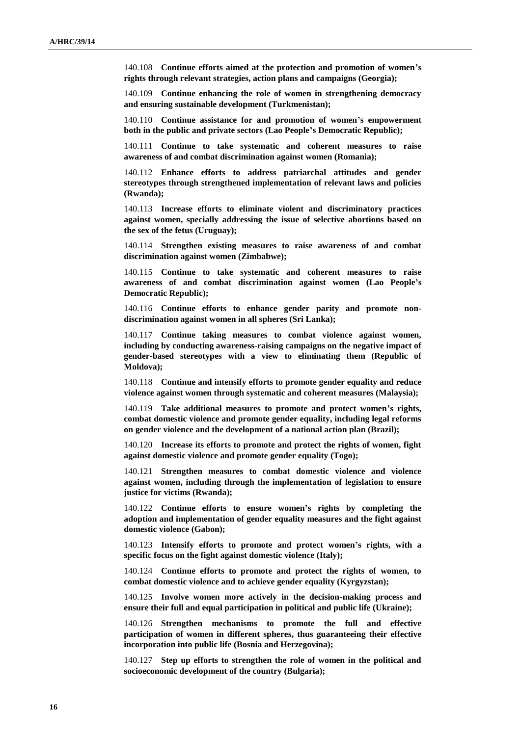140.108 **Continue efforts aimed at the protection and promotion of women's rights through relevant strategies, action plans and campaigns (Georgia);**

140.109 **Continue enhancing the role of women in strengthening democracy and ensuring sustainable development (Turkmenistan);**

140.110 **Continue assistance for and promotion of women's empowerment both in the public and private sectors (Lao People's Democratic Republic);**

140.111 **Continue to take systematic and coherent measures to raise awareness of and combat discrimination against women (Romania);**

140.112 **Enhance efforts to address patriarchal attitudes and gender stereotypes through strengthened implementation of relevant laws and policies (Rwanda);**

140.113 **Increase efforts to eliminate violent and discriminatory practices against women, specially addressing the issue of selective abortions based on the sex of the fetus (Uruguay);**

140.114 **Strengthen existing measures to raise awareness of and combat discrimination against women (Zimbabwe);**

140.115 **Continue to take systematic and coherent measures to raise awareness of and combat discrimination against women (Lao People's Democratic Republic);**

140.116 **Continue efforts to enhance gender parity and promote nondiscrimination against women in all spheres (Sri Lanka);**

140.117 **Continue taking measures to combat violence against women, including by conducting awareness-raising campaigns on the negative impact of gender-based stereotypes with a view to eliminating them (Republic of Moldova);**

140.118 **Continue and intensify efforts to promote gender equality and reduce violence against women through systematic and coherent measures (Malaysia);**

140.119 **Take additional measures to promote and protect women's rights, combat domestic violence and promote gender equality, including legal reforms on gender violence and the development of a national action plan (Brazil);**

140.120 **Increase its efforts to promote and protect the rights of women, fight against domestic violence and promote gender equality (Togo);**

140.121 **Strengthen measures to combat domestic violence and violence against women, including through the implementation of legislation to ensure justice for victims (Rwanda);**

140.122 **Continue efforts to ensure women's rights by completing the adoption and implementation of gender equality measures and the fight against domestic violence (Gabon);**

140.123 **Intensify efforts to promote and protect women's rights, with a specific focus on the fight against domestic violence (Italy);**

140.124 **Continue efforts to promote and protect the rights of women, to combat domestic violence and to achieve gender equality (Kyrgyzstan);**

140.125 **Involve women more actively in the decision-making process and ensure their full and equal participation in political and public life (Ukraine);**

140.126 **Strengthen mechanisms to promote the full and effective participation of women in different spheres, thus guaranteeing their effective incorporation into public life (Bosnia and Herzegovina);**

140.127 **Step up efforts to strengthen the role of women in the political and socioeconomic development of the country (Bulgaria);**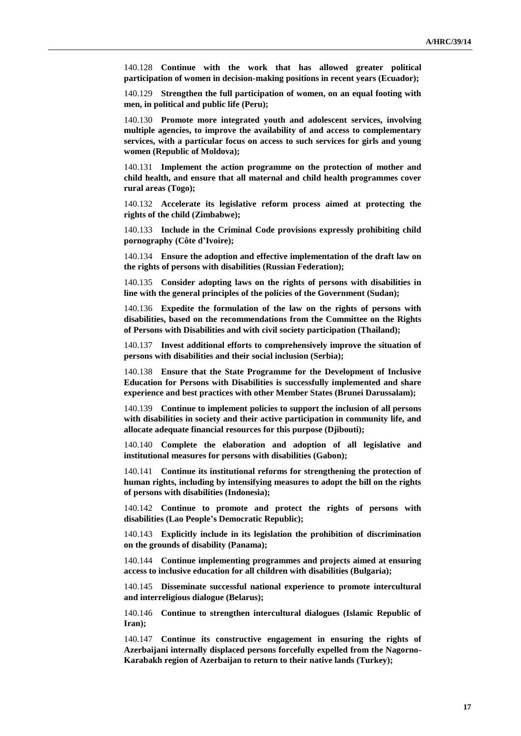140.128 **Continue with the work that has allowed greater political participation of women in decision-making positions in recent years (Ecuador);**

140.129 **Strengthen the full participation of women, on an equal footing with men, in political and public life (Peru);**

140.130 **Promote more integrated youth and adolescent services, involving multiple agencies, to improve the availability of and access to complementary services, with a particular focus on access to such services for girls and young women (Republic of Moldova);**

140.131 **Implement the action programme on the protection of mother and child health, and ensure that all maternal and child health programmes cover rural areas (Togo);**

140.132 **Accelerate its legislative reform process aimed at protecting the rights of the child (Zimbabwe);**

140.133 **Include in the Criminal Code provisions expressly prohibiting child pornography (Côte d'Ivoire);**

140.134 **Ensure the adoption and effective implementation of the draft law on the rights of persons with disabilities (Russian Federation);**

140.135 **Consider adopting laws on the rights of persons with disabilities in line with the general principles of the policies of the Government (Sudan);**

140.136 **Expedite the formulation of the law on the rights of persons with disabilities, based on the recommendations from the Committee on the Rights of Persons with Disabilities and with civil society participation (Thailand);**

140.137 **Invest additional efforts to comprehensively improve the situation of persons with disabilities and their social inclusion (Serbia);**

140.138 **Ensure that the State Programme for the Development of Inclusive Education for Persons with Disabilities is successfully implemented and share experience and best practices with other Member States (Brunei Darussalam);**

140.139 **Continue to implement policies to support the inclusion of all persons with disabilities in society and their active participation in community life, and allocate adequate financial resources for this purpose (Djibouti);**

140.140 **Complete the elaboration and adoption of all legislative and institutional measures for persons with disabilities (Gabon);**

140.141 **Continue its institutional reforms for strengthening the protection of human rights, including by intensifying measures to adopt the bill on the rights of persons with disabilities (Indonesia);**

140.142 **Continue to promote and protect the rights of persons with disabilities (Lao People's Democratic Republic);**

140.143 **Explicitly include in its legislation the prohibition of discrimination on the grounds of disability (Panama);**

140.144 **Continue implementing programmes and projects aimed at ensuring access to inclusive education for all children with disabilities (Bulgaria);**

140.145 **Disseminate successful national experience to promote intercultural and interreligious dialogue (Belarus);**

140.146 **Continue to strengthen intercultural dialogues (Islamic Republic of Iran);**

140.147 **Continue its constructive engagement in ensuring the rights of Azerbaijani internally displaced persons forcefully expelled from the Nagorno-Karabakh region of Azerbaijan to return to their native lands (Turkey);**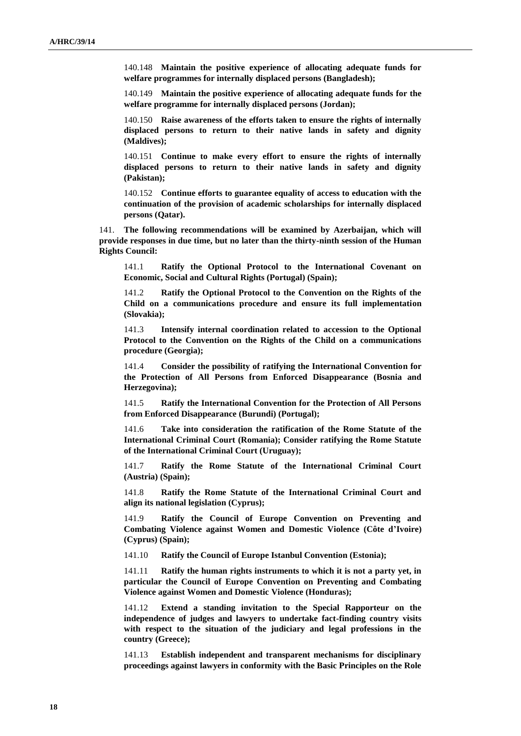140.148 **Maintain the positive experience of allocating adequate funds for welfare programmes for internally displaced persons (Bangladesh);**

140.149 **Maintain the positive experience of allocating adequate funds for the welfare programme for internally displaced persons (Jordan);**

140.150 **Raise awareness of the efforts taken to ensure the rights of internally displaced persons to return to their native lands in safety and dignity (Maldives);**

140.151 **Continue to make every effort to ensure the rights of internally displaced persons to return to their native lands in safety and dignity (Pakistan);**

140.152 **Continue efforts to guarantee equality of access to education with the continuation of the provision of academic scholarships for internally displaced persons (Qatar).**

141. **The following recommendations will be examined by Azerbaijan, which will provide responses in due time, but no later than the thirty-ninth session of the Human Rights Council:**

141.1 **Ratify the Optional Protocol to the International Covenant on Economic, Social and Cultural Rights (Portugal) (Spain);**

141.2 **Ratify the Optional Protocol to the Convention on the Rights of the Child on a communications procedure and ensure its full implementation (Slovakia);**

141.3 **Intensify internal coordination related to accession to the Optional Protocol to the Convention on the Rights of the Child on a communications procedure (Georgia);**

141.4 **Consider the possibility of ratifying the International Convention for the Protection of All Persons from Enforced Disappearance (Bosnia and Herzegovina);**

141.5 **Ratify the International Convention for the Protection of All Persons from Enforced Disappearance (Burundi) (Portugal);**

141.6 **Take into consideration the ratification of the Rome Statute of the International Criminal Court (Romania); Consider ratifying the Rome Statute of the International Criminal Court (Uruguay);**

141.7 **Ratify the Rome Statute of the International Criminal Court (Austria) (Spain);**

141.8 **Ratify the Rome Statute of the International Criminal Court and align its national legislation (Cyprus);**

141.9 **Ratify the Council of Europe Convention on Preventing and Combating Violence against Women and Domestic Violence (Côte d'Ivoire) (Cyprus) (Spain);**

141.10 **Ratify the Council of Europe Istanbul Convention (Estonia);**

141.11 **Ratify the human rights instruments to which it is not a party yet, in particular the Council of Europe Convention on Preventing and Combating Violence against Women and Domestic Violence (Honduras);**

141.12 **Extend a standing invitation to the Special Rapporteur on the independence of judges and lawyers to undertake fact-finding country visits with respect to the situation of the judiciary and legal professions in the country (Greece);**

141.13 **Establish independent and transparent mechanisms for disciplinary proceedings against lawyers in conformity with the Basic Principles on the Role**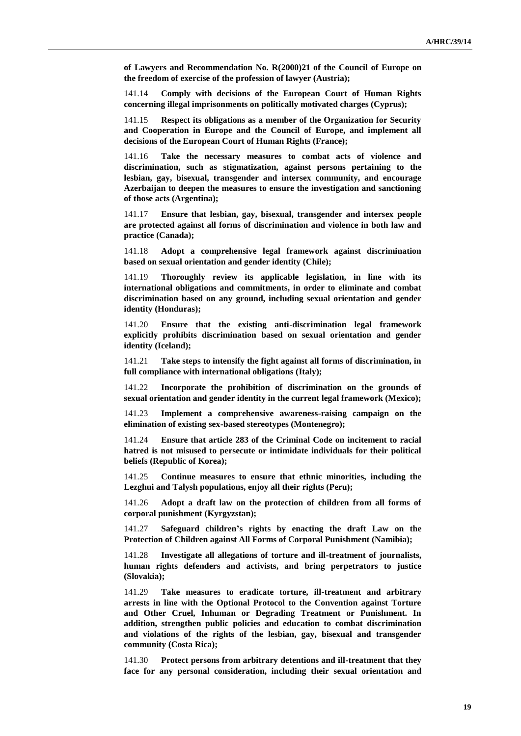**of Lawyers and Recommendation No. R(2000)21 of the Council of Europe on the freedom of exercise of the profession of lawyer (Austria);**

141.14 **Comply with decisions of the European Court of Human Rights concerning illegal imprisonments on politically motivated charges (Cyprus);**

141.15 **Respect its obligations as a member of the Organization for Security and Cooperation in Europe and the Council of Europe, and implement all decisions of the European Court of Human Rights (France);**

141.16 **Take the necessary measures to combat acts of violence and discrimination, such as stigmatization, against persons pertaining to the lesbian, gay, bisexual, transgender and intersex community, and encourage Azerbaijan to deepen the measures to ensure the investigation and sanctioning of those acts (Argentina);**

141.17 **Ensure that lesbian, gay, bisexual, transgender and intersex people are protected against all forms of discrimination and violence in both law and practice (Canada);**

141.18 **Adopt a comprehensive legal framework against discrimination based on sexual orientation and gender identity (Chile);**

141.19 **Thoroughly review its applicable legislation, in line with its international obligations and commitments, in order to eliminate and combat discrimination based on any ground, including sexual orientation and gender identity (Honduras);**

141.20 **Ensure that the existing anti-discrimination legal framework explicitly prohibits discrimination based on sexual orientation and gender identity (Iceland);**

141.21 **Take steps to intensify the fight against all forms of discrimination, in full compliance with international obligations (Italy);**

141.22 **Incorporate the prohibition of discrimination on the grounds of sexual orientation and gender identity in the current legal framework (Mexico);**

141.23 **Implement a comprehensive awareness-raising campaign on the elimination of existing sex-based stereotypes (Montenegro);**

141.24 **Ensure that article 283 of the Criminal Code on incitement to racial hatred is not misused to persecute or intimidate individuals for their political beliefs (Republic of Korea);**

141.25 **Continue measures to ensure that ethnic minorities, including the Lezghui and Talysh populations, enjoy all their rights (Peru);**

141.26 **Adopt a draft law on the protection of children from all forms of corporal punishment (Kyrgyzstan);**

141.27 **Safeguard children's rights by enacting the draft Law on the Protection of Children against All Forms of Corporal Punishment (Namibia);**

141.28 **Investigate all allegations of torture and ill-treatment of journalists, human rights defenders and activists, and bring perpetrators to justice (Slovakia);**

141.29 **Take measures to eradicate torture, ill-treatment and arbitrary arrests in line with the Optional Protocol to the Convention against Torture and Other Cruel, Inhuman or Degrading Treatment or Punishment. In addition, strengthen public policies and education to combat discrimination and violations of the rights of the lesbian, gay, bisexual and transgender community (Costa Rica);**

141.30 **Protect persons from arbitrary detentions and ill-treatment that they face for any personal consideration, including their sexual orientation and**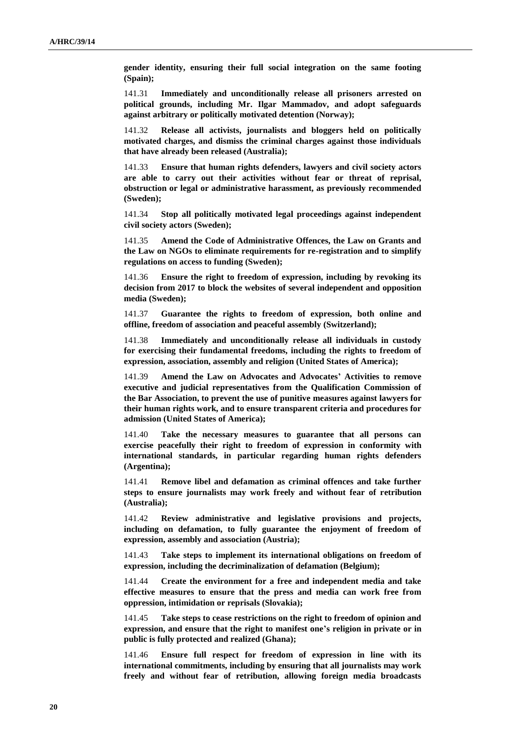**gender identity, ensuring their full social integration on the same footing (Spain);**

141.31 **Immediately and unconditionally release all prisoners arrested on political grounds, including Mr. Ilgar Mammadov, and adopt safeguards against arbitrary or politically motivated detention (Norway);**

141.32 **Release all activists, journalists and bloggers held on politically motivated charges, and dismiss the criminal charges against those individuals that have already been released (Australia);**

141.33 **Ensure that human rights defenders, lawyers and civil society actors are able to carry out their activities without fear or threat of reprisal, obstruction or legal or administrative harassment, as previously recommended (Sweden);**

141.34 **Stop all politically motivated legal proceedings against independent civil society actors (Sweden);**

141.35 **Amend the Code of Administrative Offences, the Law on Grants and the Law on NGOs to eliminate requirements for re-registration and to simplify regulations on access to funding (Sweden);**

141.36 **Ensure the right to freedom of expression, including by revoking its decision from 2017 to block the websites of several independent and opposition media (Sweden);**

141.37 **Guarantee the rights to freedom of expression, both online and offline, freedom of association and peaceful assembly (Switzerland);**

141.38 **Immediately and unconditionally release all individuals in custody for exercising their fundamental freedoms, including the rights to freedom of expression, association, assembly and religion (United States of America);**

141.39 **Amend the Law on Advocates and Advocates' Activities to remove executive and judicial representatives from the Qualification Commission of the Bar Association, to prevent the use of punitive measures against lawyers for their human rights work, and to ensure transparent criteria and procedures for admission (United States of America);**

141.40 **Take the necessary measures to guarantee that all persons can exercise peacefully their right to freedom of expression in conformity with international standards, in particular regarding human rights defenders (Argentina);**

141.41 **Remove libel and defamation as criminal offences and take further steps to ensure journalists may work freely and without fear of retribution (Australia);**

141.42 **Review administrative and legislative provisions and projects, including on defamation, to fully guarantee the enjoyment of freedom of expression, assembly and association (Austria);**

141.43 **Take steps to implement its international obligations on freedom of expression, including the decriminalization of defamation (Belgium);**

141.44 **Create the environment for a free and independent media and take effective measures to ensure that the press and media can work free from oppression, intimidation or reprisals (Slovakia);**

141.45 **Take steps to cease restrictions on the right to freedom of opinion and expression, and ensure that the right to manifest one's religion in private or in public is fully protected and realized (Ghana);**

141.46 **Ensure full respect for freedom of expression in line with its international commitments, including by ensuring that all journalists may work freely and without fear of retribution, allowing foreign media broadcasts**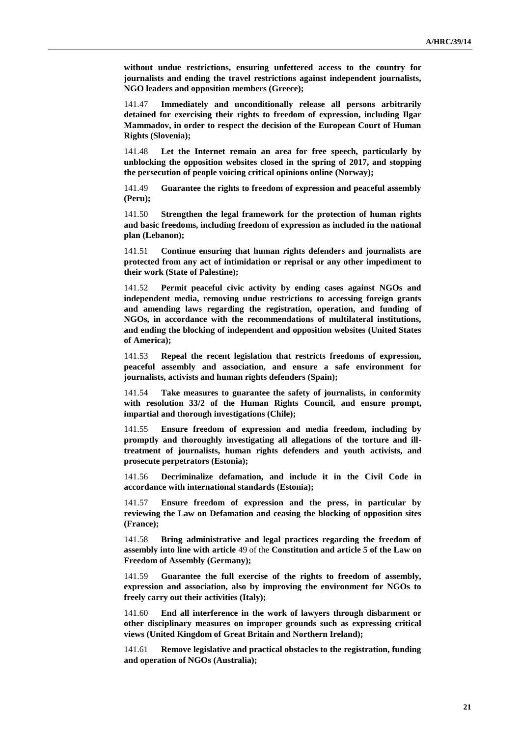**without undue restrictions, ensuring unfettered access to the country for journalists and ending the travel restrictions against independent journalists, NGO leaders and opposition members (Greece);**

141.47 **Immediately and unconditionally release all persons arbitrarily detained for exercising their rights to freedom of expression, including Ilgar Mammadov, in order to respect the decision of the European Court of Human Rights (Slovenia);**

141.48 **Let the Internet remain an area for free speech, particularly by unblocking the opposition websites closed in the spring of 2017, and stopping the persecution of people voicing critical opinions online (Norway);**

141.49 **Guarantee the rights to freedom of expression and peaceful assembly (Peru);**

141.50 **Strengthen the legal framework for the protection of human rights and basic freedoms, including freedom of expression as included in the national plan (Lebanon);**

141.51 **Continue ensuring that human rights defenders and journalists are protected from any act of intimidation or reprisal or any other impediment to their work (State of Palestine);**

141.52 **Permit peaceful civic activity by ending cases against NGOs and independent media, removing undue restrictions to accessing foreign grants and amending laws regarding the registration, operation, and funding of NGOs, in accordance with the recommendations of multilateral institutions, and ending the blocking of independent and opposition websites (United States of America);**

141.53 **Repeal the recent legislation that restricts freedoms of expression, peaceful assembly and association, and ensure a safe environment for journalists, activists and human rights defenders (Spain);**

141.54 **Take measures to guarantee the safety of journalists, in conformity with resolution 33/2 of the Human Rights Council, and ensure prompt, impartial and thorough investigations (Chile);**

141.55 **Ensure freedom of expression and media freedom, including by promptly and thoroughly investigating all allegations of the torture and illtreatment of journalists, human rights defenders and youth activists, and prosecute perpetrators (Estonia);**

141.56 **Decriminalize defamation, and include it in the Civil Code in accordance with international standards (Estonia);**

141.57 **Ensure freedom of expression and the press, in particular by reviewing the Law on Defamation and ceasing the blocking of opposition sites (France);**

141.58 **Bring administrative and legal practices regarding the freedom of assembly into line with article** 49 of the **Constitution and article 5 of the Law on Freedom of Assembly (Germany);**

141.59 **Guarantee the full exercise of the rights to freedom of assembly, expression and association, also by improving the environment for NGOs to freely carry out their activities (Italy);**

141.60 **End all interference in the work of lawyers through disbarment or other disciplinary measures on improper grounds such as expressing critical views (United Kingdom of Great Britain and Northern Ireland);**

141.61 **Remove legislative and practical obstacles to the registration, funding and operation of NGOs (Australia);**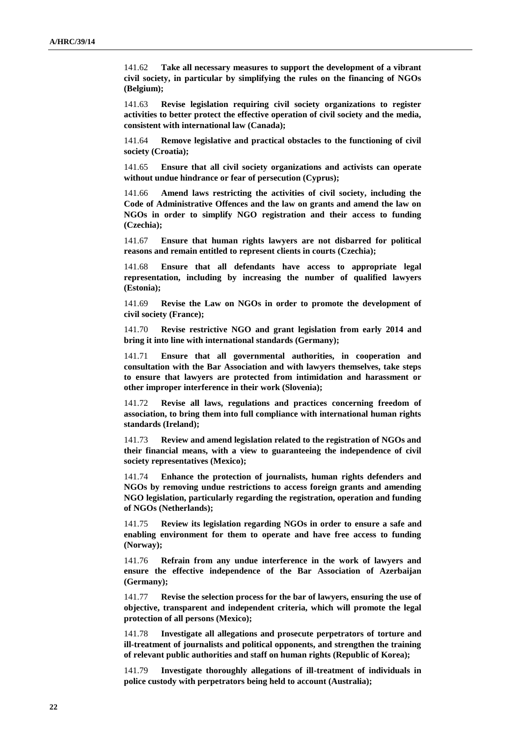141.62 **Take all necessary measures to support the development of a vibrant civil society, in particular by simplifying the rules on the financing of NGOs (Belgium);**

141.63 **Revise legislation requiring civil society organizations to register activities to better protect the effective operation of civil society and the media, consistent with international law (Canada);**

141.64 **Remove legislative and practical obstacles to the functioning of civil society (Croatia);**

141.65 **Ensure that all civil society organizations and activists can operate without undue hindrance or fear of persecution (Cyprus);**

141.66 **Amend laws restricting the activities of civil society, including the Code of Administrative Offences and the law on grants and amend the law on NGOs in order to simplify NGO registration and their access to funding (Czechia);**

141.67 **Ensure that human rights lawyers are not disbarred for political reasons and remain entitled to represent clients in courts (Czechia);**

141.68 **Ensure that all defendants have access to appropriate legal representation, including by increasing the number of qualified lawyers (Estonia);**

141.69 **Revise the Law on NGOs in order to promote the development of civil society (France);**

141.70 **Revise restrictive NGO and grant legislation from early 2014 and bring it into line with international standards (Germany);**

141.71 **Ensure that all governmental authorities, in cooperation and consultation with the Bar Association and with lawyers themselves, take steps to ensure that lawyers are protected from intimidation and harassment or other improper interference in their work (Slovenia);**

141.72 **Revise all laws, regulations and practices concerning freedom of association, to bring them into full compliance with international human rights standards (Ireland);**

141.73 **Review and amend legislation related to the registration of NGOs and their financial means, with a view to guaranteeing the independence of civil society representatives (Mexico);**

141.74 **Enhance the protection of journalists, human rights defenders and NGOs by removing undue restrictions to access foreign grants and amending NGO legislation, particularly regarding the registration, operation and funding of NGOs (Netherlands);**

141.75 **Review its legislation regarding NGOs in order to ensure a safe and enabling environment for them to operate and have free access to funding (Norway);**

141.76 **Refrain from any undue interference in the work of lawyers and ensure the effective independence of the Bar Association of Azerbaijan (Germany);**

141.77 **Revise the selection process for the bar of lawyers, ensuring the use of objective, transparent and independent criteria, which will promote the legal protection of all persons (Mexico);**

141.78 **Investigate all allegations and prosecute perpetrators of torture and ill-treatment of journalists and political opponents, and strengthen the training of relevant public authorities and staff on human rights (Republic of Korea);**

141.79 **Investigate thoroughly allegations of ill-treatment of individuals in police custody with perpetrators being held to account (Australia);**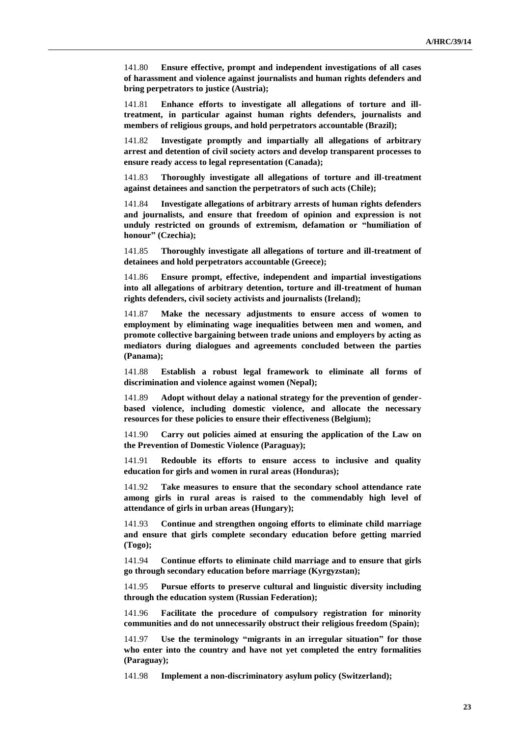141.80 **Ensure effective, prompt and independent investigations of all cases of harassment and violence against journalists and human rights defenders and bring perpetrators to justice (Austria);**

141.81 **Enhance efforts to investigate all allegations of torture and illtreatment, in particular against human rights defenders, journalists and members of religious groups, and hold perpetrators accountable (Brazil);**

141.82 **Investigate promptly and impartially all allegations of arbitrary arrest and detention of civil society actors and develop transparent processes to ensure ready access to legal representation (Canada);**

141.83 **Thoroughly investigate all allegations of torture and ill-treatment against detainees and sanction the perpetrators of such acts (Chile);**

141.84 **Investigate allegations of arbitrary arrests of human rights defenders and journalists, and ensure that freedom of opinion and expression is not unduly restricted on grounds of extremism, defamation or "humiliation of honour" (Czechia);**

141.85 **Thoroughly investigate all allegations of torture and ill-treatment of detainees and hold perpetrators accountable (Greece);**

141.86 **Ensure prompt, effective, independent and impartial investigations into all allegations of arbitrary detention, torture and ill-treatment of human rights defenders, civil society activists and journalists (Ireland);**

141.87 **Make the necessary adjustments to ensure access of women to employment by eliminating wage inequalities between men and women, and promote collective bargaining between trade unions and employers by acting as mediators during dialogues and agreements concluded between the parties (Panama);**

141.88 **Establish a robust legal framework to eliminate all forms of discrimination and violence against women (Nepal);**

141.89 **Adopt without delay a national strategy for the prevention of genderbased violence, including domestic violence, and allocate the necessary resources for these policies to ensure their effectiveness (Belgium);**

141.90 **Carry out policies aimed at ensuring the application of the Law on the Prevention of Domestic Violence (Paraguay);**

141.91 **Redouble its efforts to ensure access to inclusive and quality education for girls and women in rural areas (Honduras);**

141.92 **Take measures to ensure that the secondary school attendance rate among girls in rural areas is raised to the commendably high level of attendance of girls in urban areas (Hungary);**

141.93 **Continue and strengthen ongoing efforts to eliminate child marriage and ensure that girls complete secondary education before getting married (Togo);**

141.94 **Continue efforts to eliminate child marriage and to ensure that girls go through secondary education before marriage (Kyrgyzstan);**

141.95 **Pursue efforts to preserve cultural and linguistic diversity including through the education system (Russian Federation);**

141.96 **Facilitate the procedure of compulsory registration for minority communities and do not unnecessarily obstruct their religious freedom (Spain);**

141.97 **Use the terminology "migrants in an irregular situation" for those who enter into the country and have not yet completed the entry formalities (Paraguay);**

141.98 **Implement a non-discriminatory asylum policy (Switzerland);**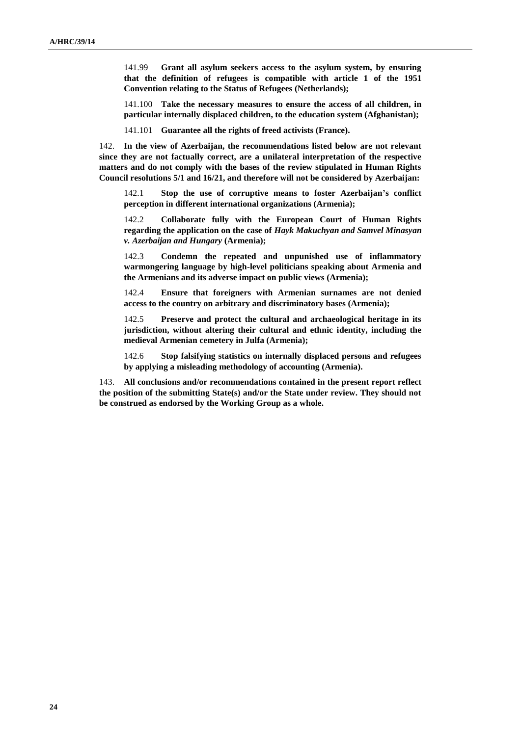141.99 **Grant all asylum seekers access to the asylum system, by ensuring that the definition of refugees is compatible with article 1 of the 1951 Convention relating to the Status of Refugees (Netherlands);**

141.100 **Take the necessary measures to ensure the access of all children, in particular internally displaced children, to the education system (Afghanistan);**

141.101 **Guarantee all the rights of freed activists (France).**

142. **In the view of Azerbaijan, the recommendations listed below are not relevant since they are not factually correct, are a unilateral interpretation of the respective matters and do not comply with the bases of the review stipulated in Human Rights Council resolutions 5/1 and 16/21, and therefore will not be considered by Azerbaijan:**

142.1 **Stop the use of corruptive means to foster Azerbaijan's conflict perception in different international organizations (Armenia);**

142.2 **Collaborate fully with the European Court of Human Rights regarding the application on the case of** *Hayk Makuchyan and Samvel Minasyan v. Azerbaijan and Hungary* **(Armenia);**

142.3 **Condemn the repeated and unpunished use of inflammatory warmongering language by high-level politicians speaking about Armenia and the Armenians and its adverse impact on public views (Armenia);**

142.4 **Ensure that foreigners with Armenian surnames are not denied access to the country on arbitrary and discriminatory bases (Armenia);**

142.5 **Preserve and protect the cultural and archaeological heritage in its jurisdiction, without altering their cultural and ethnic identity, including the medieval Armenian cemetery in Julfa (Armenia);**

142.6 **Stop falsifying statistics on internally displaced persons and refugees by applying a misleading methodology of accounting (Armenia).**

143. **All conclusions and/or recommendations contained in the present report reflect the position of the submitting State(s) and/or the State under review. They should not be construed as endorsed by the Working Group as a whole.**